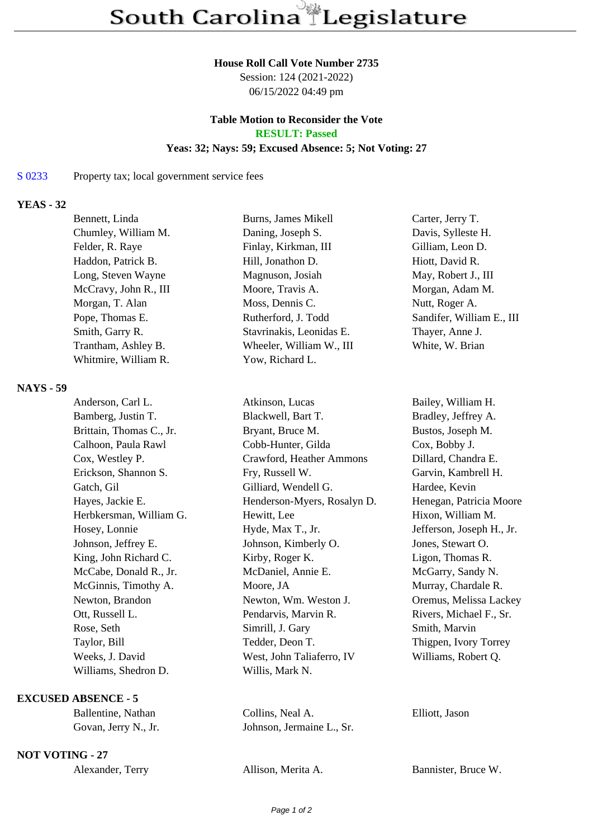## **House Roll Call Vote Number 2735**

Session: 124 (2021-2022) 06/15/2022 04:49 pm

## **Table Motion to Reconsider the Vote RESULT: Passed**

## **Yeas: 32; Nays: 59; Excused Absence: 5; Not Voting: 27**

#### S 0233 Property tax; local government service fees

# **YEAS - 32**

| Bennett, Linda        | Burns, James Mikell      | Carter, Jerry T.          |
|-----------------------|--------------------------|---------------------------|
| Chumley, William M.   | Daning, Joseph S.        | Davis, Sylleste H.        |
| Felder, R. Raye       | Finlay, Kirkman, III     | Gilliam, Leon D.          |
| Haddon, Patrick B.    | Hill, Jonathon D.        | Hiott, David R.           |
| Long, Steven Wayne    | Magnuson, Josiah         | May, Robert J., III       |
| McCravy, John R., III | Moore, Travis A.         | Morgan, Adam M.           |
| Morgan, T. Alan       | Moss, Dennis C.          | Nutt, Roger A.            |
| Pope, Thomas E.       | Rutherford, J. Todd      | Sandifer, William E., III |
| Smith, Garry R.       | Stavrinakis, Leonidas E. | Thayer, Anne J.           |
| Trantham, Ashley B.   | Wheeler, William W., III | White, W. Brian           |
| Whitmire, William R.  | Yow, Richard L.          |                           |
|                       |                          |                           |

## **NAYS - 59**

| Anderson, Carl L.        | Atkinson, Lucas             | Bailey, William H.  |
|--------------------------|-----------------------------|---------------------|
| Bamberg, Justin T.       | Blackwell, Bart T.          | Bradley, Jeffrey A. |
| Brittain, Thomas C., Jr. | Bryant, Bruce M.            | Bustos, Joseph M.   |
| Calhoon, Paula Rawl      | Cobb-Hunter, Gilda          | Cox, Bobby J.       |
| Cox, Westley P.          | Crawford, Heather Ammons    | Dillard, Chandra E  |
| Erickson, Shannon S.     | Fry, Russell W.             | Garvin, Kambrell H  |
| Gatch, Gil               | Gilliard, Wendell G.        | Hardee, Kevin       |
| Hayes, Jackie E.         | Henderson-Myers, Rosalyn D. | Henegan, Patricia N |
| Herbkersman, William G.  | Hewitt, Lee                 | Hixon, William M.   |
| Hosey, Lonnie            | Hyde, Max T., Jr.           | Jefferson, Joseph H |
| Johnson, Jeffrey E.      | Johnson, Kimberly O.        | Jones, Stewart O.   |
| King, John Richard C.    | Kirby, Roger K.             | Ligon, Thomas R.    |
| McCabe, Donald R., Jr.   | McDaniel, Annie E.          | McGarry, Sandy N    |
| McGinnis, Timothy A.     | Moore, JA                   | Murray, Chardale I  |
| Newton, Brandon          | Newton, Wm. Weston J.       | Oremus, Melissa L   |
| Ott, Russell L.          | Pendarvis, Marvin R.        | Rivers, Michael F., |
| Rose, Seth               | Simrill, J. Gary            | Smith, Marvin       |
| Taylor, Bill             | Tedder, Deon T.             | Thigpen, Ivory Tor  |
| Weeks, J. David          | West, John Taliaferro, IV   | Williams, Robert Q  |
| Williams, Shedron D.     | Willis, Mark N.             |                     |
|                          |                             |                     |

## **EXCUSED ABSENCE - 5**

Ballentine, Nathan Collins, Neal A. Elliott, Jason Govan, Jerry N., Jr. Johnson, Jermaine L., Sr.

**NOT VOTING - 27**

| Alexander, Terry |  |
|------------------|--|
|------------------|--|

berg, Jeffrey A. Joseph M. Chandra E. Kambrell H. n, Patricia Moore n, Joseph H., Jr. ry, Sandy N. , Chardale R. s, Melissa Lackey Michael F., Sr. n, Ivory Torrey ns, Robert Q.

Allison, Merita A. Bannister, Bruce W.